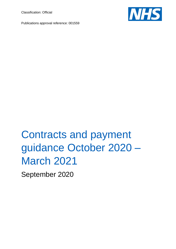Classification: Official





# Contracts and payment guidance October 2020 – March 2021

September 2020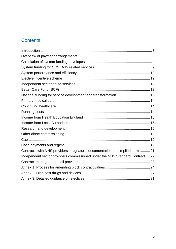# **Contents**

| National funding for service development and transformation 13                |  |
|-------------------------------------------------------------------------------|--|
|                                                                               |  |
|                                                                               |  |
|                                                                               |  |
|                                                                               |  |
|                                                                               |  |
|                                                                               |  |
|                                                                               |  |
|                                                                               |  |
|                                                                               |  |
| Contracts with NHS providers - signature, documentation and implied terms21   |  |
| Independent sector providers commissioned under the NHS Standard Contract  22 |  |
|                                                                               |  |
|                                                                               |  |
|                                                                               |  |
|                                                                               |  |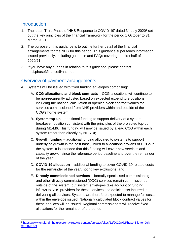### <span id="page-2-0"></span>**Introduction**

- 1. The letter 'Third Phase of NHS Response to COVID-19' dated 31 July 2020<sup>1</sup> set out the key principles of the financial framework for the period 1 October to 31 March 2021.
- 2. The purpose of this guidance is to outline further detail of the financial arrangements for the NHS for this period. This guidance supersedes information issued previously, including guidance and FAQs covering the first half of 2020/21.
- 3. If you have any queries in relation to this guidance, please contact [nhsi.phase3finance@nhs.net.](mailto:nhsi.phase3finance@nhs.net)

# <span id="page-2-1"></span>Overview of payment arrangements

- 4. Systems will be issued with fixed funding envelopes comprising:
	- A. **CCG allocations and block contracts** CCG allocations will continue to be non-recurrently adjusted based on expected expenditure positions, including the national calculation of opening block contract values for services commissioned from NHS providers within and outside of the CCG's home system;
	- B. **System top-up** additional funding to support delivery of a system breakeven position consistent with the principles of the projected top-up during M1-M6. This funding will now be issued by a lead CCG within each system rather than directly by NHSE/I;
	- C. **Growth funding** additional funding allocated to systems to support underlying growth in the cost base, linked to allocations growths of CCGs in the system. It is intended that this funding will cover new services and capacity growth since the reference period baseline and over the remainder of the year;
	- D. **COVID-19 allocation** additional funding to cover COVID-19 related costs for the remainder of the year, noting key exclusions; and
	- E. **Directly commissioned services –** formally specialised commissioning and other directly commissioned (ODC) services remain commissioned outside of the system, but system envelopes take account of funding inflows to NHS providers for these services and deficit costs incurred in delivering all services. Systems are therefore expected to manage full costs within the envelope issued. Nationally calculated block contract values for these services will be issued. Regional commissioners will receive fixed allocations for the remainder of the period.

<sup>1</sup> [https://www.england.nhs.uk/coronavirus/wp-content/uploads/sites/52/2020/07/Phase-3-letter-July-](https://www.england.nhs.uk/coronavirus/wp-content/uploads/sites/52/2020/07/Phase-3-letter-July-31-2020.pdf)[31-2020.pdf](https://www.england.nhs.uk/coronavirus/wp-content/uploads/sites/52/2020/07/Phase-3-letter-July-31-2020.pdf)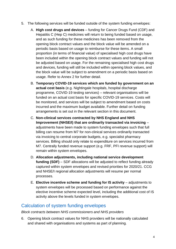- 5. The following services will be funded outside of the system funding envelopes:
	- A. **High cost drugs and devices** funding for Cancer Drugs Fund (CDF) and Hepatitis C (Hep C) medicines will return to being funded based on usage, and as such funding for these medicines has been removed from the opening block contract values and the block value will be amended on a periodic basis based on usage to reimburse for these items. A small proportion (in terms of financial value) of specialised high cost drugs have been included within the opening block contract values and funding will not be adjusted based on usage. For the remaining specialised high cost drugs and devices, funding will still be included within opening block values, and the block value will be subject to amendment on a periodic basis based on usage. Refer to Annex 2 for further detail.
	- B. **Temporary COVID-19 services which are funded by government on an actual cost basis** (e.g. Nightingale hospitals, hospital discharge programme, COVID-19 testing services) – relevant organisations will be funded on an actual cost basis for specific COVID-19 services. Costs will be monitored, and services will be subject to amendment based on costs incurred and the maximum budget available. Further detail on funding arrangements is set out in the relevant section in this document.
	- C. **Non-clinical services contracted by NHS England and NHS Improvement (NHSE/I) that are ordinarily transacted via invoicing** – adjustments have been made to system funding envelopes such that full billing can resume from M7 for non-clinical services ordinarily transacted via invoicing to central corporate budgets, e.g. specialist pharmacy services. Billing should only relate to expenditure on services incurred from M7. Centrally funded revenue support (e.g. FRF, PFI revenue support) will remain within system envelopes.
	- D. **Allocation adjustments, including national service development funding (SDF)** – SDF allocations will be adjusted to reflect funding already captured within system envelopes and revised priorities for 2020/21. CCG and NHSE/I regional allocation adjustments will resume per normal processes.
	- E. **Elective incentive scheme and funding for IS activity** adjustments to system envelopes will be processed based on performance against the elective incentive scheme expected level, including the additional cost of IS activity above the levels funded in system envelopes.

# <span id="page-3-0"></span>Calculation of system funding envelopes

*Block contracts between NHS commissioners and NHS providers*

6. Opening block contract values for NHS providers will be nationally calculated and shared with organisations and systems as part of planning.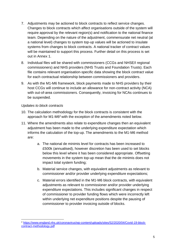- 7. Adjustments may be actioned to block contracts to reflect service changes. Changes to block contracts which affect organisations outside of the system will require approval by the relevant region(s) and notification to the national finance team. Depending on the nature of the adjustment, commensurate net neutral (at a national level) changes to system top-up values will be actioned to insulate systems from changes to block contracts. A national tracker of contract values will be maintained to support this process. Further detail on this process is set out in Annex 1.
- 8. Individual files will be shared with commissioners (CCGs and NHSE/I regional commissioners) and NHS providers (NHS Trusts and Foundation Trusts). Each file contains relevant organisation-specific data showing the block contract value for each contractual relationship between commissioners and providers.
- 9. As with the M1-M6 framework, block payments made to NHS providers by their host CCGs will continue to include an allowance for non-contract activity (NCA) with out-of-area commissioners. Consequently, invoicing for NCAs continues to be suspended.

### *Updates to block contracts*

- 10. The calculation methodology for the block contracts is consistent with the approach for M1-M6<sup>2</sup> with the exception of the amendments noted below.
- 11. Where the amendments also relate to expenditure changes then an equivalent adjustment has been made to the underlying expenditure expectation which informs the calculation of the top-up. The amendments to the M1-M6 method are:
	- a. The national de minimis level for contracts has been increased to £500k (annualised), however discretion has been used to set blocks below this level where it has been considered appropriate. Offsetting movements in the system top-up mean that the de minimis does not impact total system funding;
	- b. Material service changes, with equivalent adjustments as relevant to commissioner and/or provider underlying expenditure expectations;
	- c. Material errors identified in the M1-M6 block contracts, with equivalent adjustments as relevant to commissioner and/or provider underlying expenditure expectations. This includes significant changes in respect of commissioner to provider funding flows which were incorrectly left within underlying net expenditure positions despite the pausing of commissioner to provider invoicing outside of blocks.

<sup>2</sup> [https://www.england.nhs.uk/coronavirus/wp-content/uploads/sites/52/2020/04/Covid-19-block](https://www.england.nhs.uk/coronavirus/wp-content/uploads/sites/52/2020/04/covid-19-block-contract-methodology.pdf)[contract-methodology.pdf](https://www.england.nhs.uk/coronavirus/wp-content/uploads/sites/52/2020/04/covid-19-block-contract-methodology.pdf)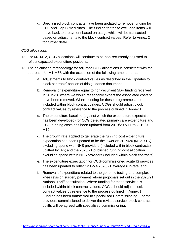d. Specialised block contracts have been updated to remove funding for CDF and Hep C medicines. The funding for these excluded items will move back to a payment based on usage which will be transacted based on adjustments to the block contract values. Refer to Annex 2 for further detail.

### *CCG allocations*

- 12. For M7-M12, CCG allocations will continue to be non-recurrently adjusted to reflect expected expenditure positions.
- 13. The calculation methodology for adjusted CCG allocations is consistent with the approach for M1-M6<sup>3</sup>, with the exception of the following amendments:
	- a. Adjustments to block contract values as described in the 'Updates to block contracts' section of this guidance document;
	- b. Removal of expenditure equal to non-recurrent SDF funding received in 2019/20 where we would reasonably expect the associated costs to have been removed. Where funding for these programmes are included within block contract values, CCGs should adjust block contract values by reference to the process outlined in Annex 1;
	- c. The expenditure baseline (against which the expenditure expectation has been developed) for CCG delegated primary care expenditure and CCG running costs has been updated from 2019/20 M11 to 2019/20 M12;
	- d. The growth rate applied to generate the running cost expenditure expectation has been updated to be the lower of: 2019/20 (M12 YTD) excluding spend with NHS providers (included within block contracts) uplifted by 3%; and the 2020/21 published running cost allocation excluding spend within NHS providers (included within block contracts).
	- e. The expenditure expectation for CCG-commissioned acute IS services has been updated to reflect M1-M4 2020/21 average run-rate; and
	- f. Removal of expenditure related to the genomic testing and complex knee revision surgery payment reform proposals set out in the 2020/21 National Tariff consultation. Where funding for these services is included within block contract values, CCGs should adjust block contract values by reference to the process outlined in Annex 1. Funding has been transferred to Specialised Commissioning. For the providers commissioned to deliver the revised service, block contract uplifts will be agreed with specialised commissioning.

<sup>3</sup> <https://nhsengland.sharepoint.com/TeamCentre/Finance/FinancialControl/Pages/GCh4.aspx#4.4>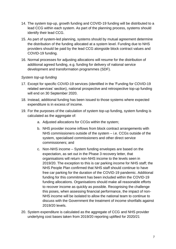- 14. The system top-up, growth funding and COVID-19 funding will be distributed to a lead CCG within each system. As part of the planning process, systems should identify their lead CCG.
- 15. As part of system-led planning, systems should by mutual agreement determine the distribution of the funding allocated at a system level. Funding due to NHS providers should be paid by the lead CCG alongside block contract values and COVID-19 funding.
- 16. Normal processes for adjusting allocations will resume for the distribution of additional agreed funding, e.g. funding for delivery of national service development and transformation programmes (SDF).

### *System top-up funding*

- 17. Except for specific COVID-19 services (identified in the 'Funding for COVID-19 related services' section), national prospective and retrospective top-up funding will end on 30 September 2020.
- 18. Instead, additional funding has been issued to those systems where expected expenditure is in excess of income.
- 19. For the purposes of the calculation of system top-up funding, system funding is calculated as the aggregate of:
	- a. Adjusted allocations for CCGs within the system;
	- b. NHS provider income inflows from block contract arrangements with NHS commissioners outside of the system – i.e. CCGs outside of the system, specialised commissioners and other direct service commissioners; and
	- c. Non-NHS income System funding envelopes are based on the expectation, as set out in the Phase 3 recovery letter, that organisations will return non-NHS income to the levels seen in 2019/20. The exception to this is car parking income for NHS staff; the NHS People Plan confirmed that NHS staff should continue to have free car parking for the duration of the COVID-19 pandemic. Additional funding for this commitment has been included within the COVID-19 funding allocations. Organisations should make all reasonable efforts to recover income as quickly as possible. Recognising the challenge this poses, when assessing financial performance, the impact of non-NHS income will be isolated to allow the national team to continue to discuss with the Government the treatment of income shortfalls against 2019/20 levels.
- 20. System expenditure is calculated as the aggregate of CCG and NHS provider underlying cost bases taken from 2019/20 reporting uplifted for 2020/21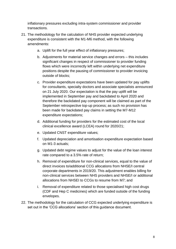inflationary pressures excluding intra-system commissioner and provider transactions.

- 21. The methodology for the calculation of NHS provider expected underlying expenditure is consistent with the M1-M6 method, with the following amendments:
	- a. Uplift for the full year effect of inflationary pressures;
	- b. Adjustments for material service changes and errors this includes significant changes in respect of commissioner to provider funding flows which were incorrectly left within underlying net expenditure positions despite the pausing of commissioner to provider invoicing outside of blocks;
	- c. Provider expenditure expectations have been updated for pay uplifts for consultants, specialty doctors and associate specialists announced on 21 July 2020. Our expectation is that the pay uplift will be implemented in September pay and backdated to April 2020 and therefore the backdated pay component will be claimed as part of the September retrospective top-up process; as such no provision has been made for backdated pay claims in setting the M7-M12 expenditure expectations;
	- d. Additional funding for providers for the estimated cost of the local clinical excellence award (LCEA) round for 2020/21;
	- e. Updated CNST expenditure values;
	- f. Updated depreciation and amortisation expenditure expectation based on M1-3 actuals;
	- g. Updated debt regime values to adjust for the value of the loan interest rate compared to a 3.5% rate of return;
	- h. Removal of expenditure for non-clinical services, equal to the value of direct invoices to/additional CCG allocations from NHSE/I central corporate departments in 2019/20. This adjustment enables billing for non-clinical services between NHS providers and NHSE/I or additional allocations from NHSEI to CCGs to resume from M7; and
	- i. Removal of expenditure related to those specialised high cost drugs (CDF and Hep C medicines) which are funded outside of the funding envelopes.
- 22. The methodology for the calculation of CCG expected underlying expenditure is set out in the 'CCG allocations' section of this guidance document.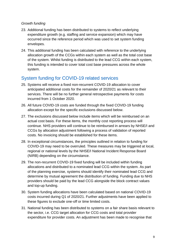### *Growth funding*

- 23. Additional funding has been distributed to systems to reflect underlying expenditure growth (e.g. staffing and service expansion) which may have occurred since the reference period which was used to set system funding envelopes.
- 24. This additional funding has been calculated with reference to the underlying allocation growth of the CCGs within each system as well as the total cost base of the system. Whilst funding is distributed to the lead CCG within each system, this funding is intended to cover total cost base pressures across the whole system.

# <span id="page-8-0"></span>System funding for COVID-19 related services

- 25. Systems will receive a fixed non-recurrent COVID-19 allocation to cover anticipated additional costs for the remainder of 2020/21 as relevant to their services. There will be no further general retrospective payments for costs incurred from 1 October 2020.
- 26. All future COVID-19 costs are funded through the fixed COVID-19 funding allocation except for the specific exclusions discussed below.
- 27. The exclusions discussed below include items which will be reimbursed on an actual cost basis. For these items, the monthly cost reporting process will continue. NHS providers will continue to be reimbursed in arrears by NHSE/I and CCGs by allocation adjustment following a process of validation of reported costs. No invoicing should be established for these items.
- 28. In exceptional circumstances, the principles outlined in relation to funding for COVID-19 may need to be overruled. These measures may be triggered at local, regional or national levels by the NHSE/I National Incident Response Board (NIRB) depending on the circumstance.
- 29. The non-recurrent COVID-19 fixed funding will be included within funding allocations and distributed to a nominated lead CCG within the system. As part of the planning exercise, systems should identify their nominated lead CCG and determine by mutual agreement the distribution of funding. Funding due to NHS providers should be paid by the lead CCG alongside the block contract values and top-up funding.
- 30. System funding allocations have been calculated based on national COVID-19 costs incurred during Q1 of 2020/21. Further adjustments have been applied to these figures to exclude one-off or time limited costs.
- 31. National funding has been distributed to systems on a fair share basis relevant to the sector, i.e. CCG target allocation for CCG costs and total provider expenditure for provider costs. An adjustment has been made to recognise that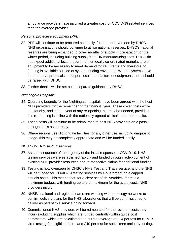ambulance providers have incurred a greater cost for COVID-19 related services than the average provider.

### *Personal protective equipment (PPE)*

- 32. PPE will continue to be procured nationally, funded and overseen by DHSC. NHS organisations should continue to utilise national reserves. DHSC's national reserves are being expanded to cover months of supply in preparation for the winter period, including building supply from UK manufacturing sites. DHSC do not expect additional local procurement or locally co-ordinated manufacture of equipment to be necessary to meet demand for PPE items and therefore no funding is available outside of system funding envelopes. Where systems have been or have proposals to support local manufacture of equipment, these should be raised with DHSC.
- *33.* Further details will be set out in separate guidance by DHSC.

### *Nightingale Hospitals*

- 34. Operating budgets for the Nightingale hospitals have been agreed with the host NHS providers for the remainder of the financial year. These cover costs while on standby, and in the event of any re-opening that may be needed, provided this re-opening is in line with the nationally agreed clinical model for the site.
- 35. These costs will continue to be reimbursed to host NHS providers on a passthrough basis as currently.
- 36. Where regions use Nightingale facilities for any other use, including diagnostic usage, this may be completely appropriate and will be funded locally.

### *NHS COVID-19 testing services*

- 37. As a consequence of the urgency of the initial response to COVID-19, NHS testing services were established rapidly and funded through redeployment of existing NHS provider resources and retrospective claims for additional funding.
- 38. Testing is now overseen by DHSC's NHS Test and Trace service, and the NHS will be funded for COVID-19 testing services by Government on a capped actuals basis. This means that, for a clear set of deliverables, there is a maximum budget, with funding up to that maximum for the actual costs NHS providers incur.
- 39. NHSE/I national and regional teams are working with pathology networks to confirm delivery plans for the NHS laboratories that will be commissioned to deliver as part of this service going forward.
- 40. Commissioned NHS providers will be reimbursed for the revenue costs they incur (excluding supplies which are funded centrally) within guide cost parameters, which are calculated at a current average of £24 per test for rt-PCR virus testing for eligible cohorts and £40 per test for social care antibody testing.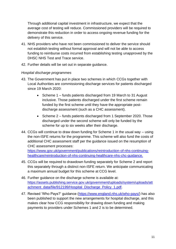Through additional capital investment in infrastructure, we expect that the average cost of testing will reduce. Commissioned providers will be required to demonstrate this reduction in order to access ongoing revenue funding for the delivery of this service.

- 41. NHS providers who have not been commissioned to deliver the service should not establish testing without formal approval and will not be able to access funding to reimburse costs incurred from establishing testing unapproved by the DHSC NHS Test and Trace service.
- 42. Further details will be set out in separate guidance.

### *Hospital discharge programmes*

- 43. The Government has put in place two schemes in which CCGs together with Local Authorities are commissioning discharge services for patients discharged since 19 March 2020:
	- Scheme 1 funds patients discharged from 19 March to 31 August inclusive. Those patients discharged under the first scheme remain funded by the first scheme until they have the appropriate postdischarge assessment (such as a CHC assessment).
	- Scheme 2 funds patients discharged from 1 September 2020. Those discharged under the second scheme will only be funded by the scheme for up to six weeks after their discharge.
- 44. CCGs will continue to draw down funding for Scheme 1 in the usual way using the non-ISFE returns for the programme. This scheme will also fund the costs of additional CHC assessment staff per the guidance issued on the resumption of CHC assessment processes:

[https://www.gov.uk/government/publications/reintroduction-of-nhs-continuing](https://www.gov.uk/government/publications/reintroduction-of-nhs-continuing-healthcare/reintroduction-of-nhs-continuing-healthcare-nhs-chc-guidance)[healthcare/reintroduction-of-nhs-continuing-healthcare-nhs-chc-guidance.](https://www.gov.uk/government/publications/reintroduction-of-nhs-continuing-healthcare/reintroduction-of-nhs-continuing-healthcare-nhs-chc-guidance)

- 45. CCGs will be required to drawdown funding separately for Scheme 2 and report this separately through a distinct non-ISFE return. We anticipate communicating a maximum annual budget for this scheme at CCG level.
- 46. Further guidance on the discharge scheme is available at: [https://assets.publishing.service.gov.uk/government/uploads/system/uploads/att](https://assets.publishing.service.gov.uk/government/uploads/system/uploads/attachment_data/file/912199/Hospital_Discharge_Policy_1.pdf) [achment\\_data/file/912199/Hospital\\_Discharge\\_Policy\\_1.pdf.](https://assets.publishing.service.gov.uk/government/uploads/system/uploads/attachment_data/file/912199/Hospital_Discharge_Policy_1.pdf)
- 47. Revised 'Who Pays?' guidance [\(https://www.england.nhs.uk/who-pays/\)](https://www.england.nhs.uk/who-pays/) has also been published to support the new arrangements for hospital discharge, and this makes clear how CCG responsibility for drawing down funding and making payments to providers under Schemes 1 and 2 is to be determined.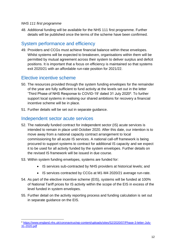#### *NHS 111 first programme*

48. Additional funding will be available for the NHS 111 first programme. Further details will be published once the terms of the scheme have been confirmed.

### <span id="page-11-0"></span>System performance and efficiency

49. Providers and CCGs must achieve financial balance within these envelopes. Whilst systems will be expected to breakeven, organisations within them will be permitted by mutual agreement across their system to deliver surplus and deficit positions. It is important that a focus on efficiency is maintained so that systems exit 2020/21 with an affordable run-rate position for 2021/22.

### <span id="page-11-1"></span>Elective incentive scheme

- 50. The resources provided through the system funding envelopes for the remainder of the year are fully sufficient to fund activity at the levels set out in the letter 'Third Phase of NHS Response to COVID-19' dated 31 July 2020<sup>4</sup>. To further support local systems in realising our shared ambitions for recovery a financial incentive scheme will be in place.
- 51. Further details will be set out in separate guidance.

### <span id="page-11-2"></span>Independent sector acute services

- 52. The nationally funded contract for independent sector (IS) acute services is intended to remain in place until October 2020. After this date, our intention is to move away from a national capacity contract arrangement to local commissioning for all acute IS services. A national call-off framework is being procured to support systems to contract for additional IS capacity and we expect it to be used for all activity funded by the system envelopes. Further details on the revised IS framework will be issued in due course.
- 53. Within system funding envelopes, systems are funded for:
	- IS services sub-contracted by NHS providers at historical levels; and
	- IS services contracted by CCGs at M1-M4 2020/21 average run-rate.
- 54. As part of the elective incentive scheme (EIS), systems will be funded at 100% of National Tariff prices for IS activity within the scope of the EIS in excess of the level funded in system envelopes.
- 55. Further detail on the activity reporting process and funding calculation is set out in separate guidance on the EIS.

<sup>4</sup> [https://www.england.nhs.uk/coronavirus/wp-content/uploads/sites/52/2020/07/Phase-3-letter-July-](https://www.england.nhs.uk/coronavirus/wp-content/uploads/sites/52/2020/07/Phase-3-letter-July-31-2020.pdf)[31-2020.pdf](https://www.england.nhs.uk/coronavirus/wp-content/uploads/sites/52/2020/07/Phase-3-letter-July-31-2020.pdf)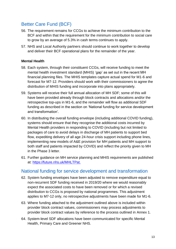# <span id="page-12-0"></span>Better Care Fund (BCF)

- 56. The requirement remains for CCGs to achieve the minimum contribution to the BCF and within that the requirement for the minimum contribution to social care to grow by an average of 5.3% in cash terms continues to apply.
- 57. NHS and Local Authority partners should continue to work together to develop and deliver their BCF operational plans for the remainder of the year.

### **Mental Health**

- 58. Each system, through their constituent CCGs, will receive funding to meet the mental health investment standard (MHIS) 'gap' as set out in the recent MH financial planning files. The MHIS templates capture actual spend for M1-6 and forecast for M7-12. Providers should work with their commissioners to agree the distribution of MHIS funding and incorporate into plans appropriately.
- 59. Systems will receive their full annual allocation of MH SDF; some of this will have been provided already through block contracts and allocations and/or the retrospective top-ups in M1-6, and the remainder will flow as additional SDF funding as described in the section on 'National funding for service development and transformation'.
- 60. In distributing the overall funding envelope (including additional COVID funding), systems should ensure that they recognise the additional costs incurred by Mental Health providers in responding to COVID (including but not limited to packages of care to avoid delays in discharge of MH patients to support bed flow, expediting delivery of all age 24-hour crisis support including phone lines, implementing new models of A&E provision for MH patients and MH support to both staff and patients impacted by COVID) and reflect the priority given to MH in the Phase 3 letter.
- 61. Further guidance on MH service planning and MHIS requirements are published at: [https://future.nhs.uk/MHLTPat.](https://future.nhs.uk/MHLTPat)

### <span id="page-12-1"></span>National funding for service development and transformation

- 62. System funding envelopes have been adjusted to remove expenditure equal to non-recurrent SDF funding received in 2019/20 where we would reasonably expect the associated costs to have been removed or for which a revised distribution to CCGs is proposed by national programmes. This adjustment applies to M7-12 only, no retrospective adjustments have been made for M1-6.
- 63. Where funding attached to the adjustment outlined above is included within provider block contract values, commissioners may process adjustments to provider block contract values by reference to the process outlined in Annex 1.
- 64. System-level SDF allocations have been communicated for specific Mental Health, Primary Care and Greener NHS.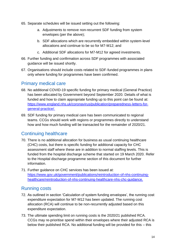- 65. Separate schedules will be issued setting out the following:
	- a. Adjustments to remove non-recurrent SDF funding from system envelopes (per the above);
	- b. SDF allocations which are recurrently embedded within system-level allocations and continue to be so for M7-M12; and
	- c. Additional SDF allocations for M7-M12 for agreed investments.
- 66. Further funding and confirmation across SDF programmes with associated guidance will be issued shortly.
- 67. Organisations should include costs related to SDF-funded programmes in plans only where funding for programmes have been confirmed.

### <span id="page-13-0"></span>Primary medical care

- 68. No additional COVID-19 specific funding for primary medical (General Practice) has been allocated by Government beyond September 2020. Details of what is funded and how to claim appropriate funding up to this point can be found at: [https://www.england.nhs.uk/coronavirus/publication/preparedness-letters-for](https://www.england.nhs.uk/coronavirus/publication/preparedness-letters-for-general-practice/)[general-practice/.](https://www.england.nhs.uk/coronavirus/publication/preparedness-letters-for-general-practice/)
- 69. SDF funding for primary medical care has been communicated to regional teams. CCGs should work with regions or programmes directly to understand how and how much funding will be transacted for the remainder of 2020/21.

# <span id="page-13-1"></span>Continuing healthcare

- 70. There is no additional allocation for business as usual continuing healthcare (CHC) costs, but there is specific funding for additional capacity for CHC assessment staff where these are in addition to normal staffing levels. This is funded from the hospital discharge scheme that started on 19 March 2020. Refer to the Hospital discharge programme section of this document for further information.
- 71. Further guidance on CHC services has been issued at: [https://www.gov.uk/government/publications/reintroduction-of-nhs-continuing](https://www.gov.uk/government/publications/reintroduction-of-nhs-continuing-healthcare/reintroduction-of-nhs-continuing-healthcare-nhs-chc-guidance)[healthcare/reintroduction-of-nhs-continuing-healthcare-nhs-chc-guidance.](https://www.gov.uk/government/publications/reintroduction-of-nhs-continuing-healthcare/reintroduction-of-nhs-continuing-healthcare-nhs-chc-guidance)

# <span id="page-13-2"></span>Running costs

- 72. As outlined in section 'Calculation of system funding envelopes', the running cost expenditure expectation for M7-M12 has been updated. The running cost allocation (RCA) will continue to be non-recurrently adjusted based on this expenditure expectation.
- 73. The ultimate spending limit on running costs is the 2020/21 published RCA. CCGs may re-prioritise spend within their envelopes where their adjusted RCA is below their published RCA. No additional funding will be provided for this – this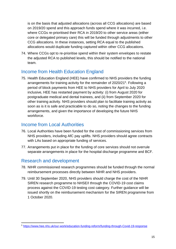is on the basis that adjusted allocations (across all CCG allocations) are based on 2019/20 spend and this approach funds spend where it was incurred, i.e. where CCGs re-prioritised their RCA in 2019/20 to other service areas (either core or delegated primary care) this will be funded through adjustments to other CCG allocations. In these instances, setting RCA equal to the published allocations would duplicate funding captured within other CCG allocations.

74. Where CCGs opt to re-prioritise spend within their system envelopes to restate the adjusted RCA to published levels, this should be notified to the national team.

# <span id="page-14-0"></span>Income from Health Education England

75. Health Education England (HEE) have confirmed to NHS providers the funding arrangements for training activity for the remainder of 2020/21<sup>5</sup>. Following a period of block payments from HEE to NHS providers for April to July 2020 inclusive, HEE has restarted payment by activity: (i) from August 2020 for postgraduate medical and dental trainees, and (ii) from September 2020 for other training activity. NHS providers should plan to facilitate training activity as soon as is it is safe and practicable to do so, noting the changes to the funding arrangements, and given the importance of developing the future NHS workforce.

### <span id="page-14-1"></span>Income from Local Authorities

- 76. Local Authorities have been funded for the cost of commissioning services from NHS providers, including AfC pay uplifts. NHS providers should agree contracts with LAs based on appropriate funding of services.
- 77. Arrangements put in place for the funding of core services should not overrule separate arrangements in place for the hospital discharge programme and BCF.

# <span id="page-14-2"></span>Research and development

- 78. NIHR commissioned research programmes should be funded through the normal reimbursement processes directly between NIHR and NHS providers.
- 79. Until 30 September 2020, NHS providers should charge the cost of the NIHR SIREN research programme to NHSE/I through the COVID-19 cost claims process against the COVID-19 testing cost category. Further guidance will be issued shortly on the reimbursement mechanism for the SIREN programme from 1 October 2020.

<sup>5</sup> [https://www.hee.nhs.uk/our-work/education-funding-reform/funding-through-Covid-19-response](https://www.hee.nhs.uk/our-work/education-funding-reform/funding-through-covid-19-response)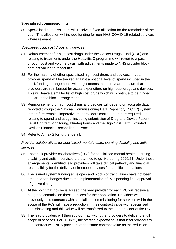### **Specialised commissioning**

80. Specialised commissioners will receive a fixed allocation for the remainder of the year. This allocation will include funding for non-NHS COVID-19 related services where relevant.

### *Specialised high cost drugs and devices*

- 81. Reimbursement for high cost drugs under the Cancer Drugs Fund (CDF) and relating to treatments under the Hepatitis C programme will revert to a passthrough cost and volume basis, with adjustments made to NHS provider block contract values to reflect this.
- 82. For the majority of other specialised high cost drugs and devices, in-year provider spend will be tracked against a notional level of spend included in the block funding arrangements with adjustments made in-year to ensure that providers are reimbursed for actual expenditure on high cost drugs and devices. This will leave a smaller list of high cost drugs which will continue to be funded as part of the block arrangements.
- 83. Reimbursement for high cost drugs and devices will depend on accurate data reported through the National Commissioning Data Repository (NCDR) system. It therefore remains imperative that providers continue to report required data relating to spend and usage, including submission of Drug and Device Patient Level Contract Monitoring, Blueteq forms and the High Cost Tariff Excluded Devices Financial Reconciliation Process.
- 84. Refer to Annex 2 for further detail.

### *Provider collaboratives for specialised mental health, learning disability and autism services*

- 85. Fast track provider collaboratives (PCs) for specialised mental health, learning disability and autism services are planned to go-live during 2020/21. Under these arrangements, identified lead providers will take clinical pathway and financial responsibility for the delivery of in-scope services for specific populations.
- 86. The issued system funding envelopes and block contract values have not been amended for changes due to the implementation of PCs pending final approval of go-live timing.
- 87. At the point that go-live is agreed, the lead provider for each PC will receive a budget to commission these services for their population. Providers who previously held contracts with specialised commissioning for services within the scope of the PCs will have a reduction in their contract value with specialised commissioning and this value will be transferred to the lead provider of the PC.
- 88. The lead providers will then sub-contract with other providers to deliver the full scope of services. For 2020/21, the starting expectation is that lead providers will sub-contract with NHS providers at the same contract value as the reduction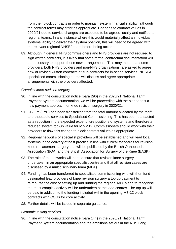from their block contracts in order to maintain system financial stability, although the contract terms may differ as appropriate. Changes to contract values in 2020/21 due to service changes are expected to be agreed locally and notified to regional teams. In any instance where this would materially affect an individual systems' ability to deliver their system position, this will need to be agreed with the relevant regional NHSE/I team before being actioned.

89. Although in general NHS commissioners and NHS providers are not required to sign written contracts, it is likely that some formal contractual documentation will be necessary to support these new arrangements. This may mean that some providers, both NHS providers and non-NHS organisations, are asked to agree new or revised written contracts or sub-contracts for in-scope services. NHSE/I specialised commissioning teams will discuss and agree appropriate arrangements with the providers affected.

#### *Complex knee revision surgery*

- 90. In line with the consultation notice (para 296) in the 2020/21 National Tariff Payment System documentation, we will be proceeding with the plan to test a new payment approach for knee revision surgery in 2020/21.
- 91. £12.9m (FYE) has been transferred from the total amount allocated by the tariff to orthopaedic services to Specialised Commissioning. This has been transacted as a reduction in the expected expenditure positions of systems and therefore a reduced system top-up value for M7-M12. Commissioners should work with their providers to flow this change to block contract values as appropriate.
- 92. Regional networks of specialist providers will be established and will lead local systems in the delivery of best practice in line with clinical standards for revision knee replacement surgery that will be published by the British Orthopaedic Association (BOA) and the British Association for Surgery of the Knee (BASK).
- 93. The role of the networks will be to ensure that revision knee surgery is undertaken in an appropriate specialist centre and that all revision cases are discussed by a multidisciplinary team (MDT).
- 94. Funding has been transferred to specialised commissioning who will then fund designated lead providers of knee revision surgery a top up payment to reimburse the cost of setting up and running the regional MDTs and to recognise the most complex activity will be undertaken at the lead centres. The top up will be paid in addition to the funding included within the opening M7-12 block contracts with CCGs for core activity.
- *95.* Further details will be issued in separate guidance.

#### *Genomic testing services*

96. In line with the consultation notice (para 144) in the 2020/21 National Tariff Payment System documentation and the ambitions set out in the NHS Long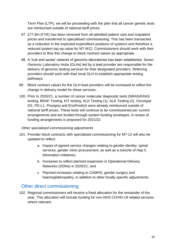Term Plan (LTP), we will be proceeding with the plan that all cancer genetic tests are reimbursed outside of national tariff prices.

- 97. £77.8m (FYE) has been removed from all admitted patient care and outpatient prices and transferred to specialised commissioning. This has been transacted as a reduction in the expected expenditure positions of systems and therefore a reduced system top-up value for M7-M12. Commissioners should work with their providers to flow this change to block contract values as appropriate.
- 98. A 'hub and spoke' network of genomic laboratories has been established. Seven Genomic Laboratory Hubs (GLHs) led by a lead provider are responsible for the delivery of genomic testing services for their designated providers. Referring providers should work with their local GLH to establish appropriate testing pathways.
- 99. Block contract values for the GLH lead providers will be increased to reflect the change in delivery model for these services.
- 100. Prior to 2020/21, a number of cancer molecular diagnostic tests (NRAS/KRAS testing, BRAF Testing, KIT testing, ALK Testing (1), ALK Testing (2), Oncotype DX, PD-L1, Prosigna and EnoPredict) were already reimbursed outside of national tariff prices. These tests will continue to be commissioned per current arrangements and are funded through system funding envelopes. A review of funding arrangements is proposed for 2021/22.

### *Other specialised commissioning adjustments*

- 101. Provider block contracts with specialised commissioning for M7-12 will also be updated to reflect:
	- a. Impact of agreed service changes relating to gender identity, spinal services, gender clinic procurement, as well as a tranche of Hep C elimination initiatives;
	- b. Increases to reflect planned expansion in Operational Delivery Networks (ODNs) in 2020/21; and
	- c. Planned increases relating to CAMHS, gender surgery and haemoglobinopathy, in addition to other locally specific adjustments.

# <span id="page-17-0"></span>Other direct commissioning

102. Regional commissioners will receive a fixed allocation for the remainder of the year. This allocation will include funding for non-NHS COVID-19 related services where relevant.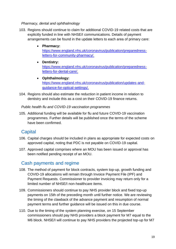### *Pharmacy, dental and ophthalmology*

- 103. Regions should continue to claim for additional COVID-19 related costs that are explicitly funded in line with NHSE/I communications. Details of payment arrangements can be found in the update letters to each area of primary care:
	- **Pharmacy:**  [https://www.england.nhs.uk/coronavirus/publication/preparedness](https://www.england.nhs.uk/coronavirus/publication/preparedness-letters-for-community-pharmacy/)[letters-for-community-pharmacy/.](https://www.england.nhs.uk/coronavirus/publication/preparedness-letters-for-community-pharmacy/)
	- **Dentistry:** [https://www.england.nhs.uk/coronavirus/publication/preparedness](https://www.england.nhs.uk/coronavirus/publication/preparedness-letters-for-dental-care/)[letters-for-dental-care/.](https://www.england.nhs.uk/coronavirus/publication/preparedness-letters-for-dental-care/)
	- **Ophthalmology:**  [https://www.england.nhs.uk/coronavirus/publication/updates-and](https://www.england.nhs.uk/coronavirus/publication/updates-and-guidance-for-optical-settings/)[guidance-for-optical-settings/.](https://www.england.nhs.uk/coronavirus/publication/updates-and-guidance-for-optical-settings/)
- 104. Regions should also estimate the reduction in patient income in relation to dentistry and include this as a cost on their COVID-19 finance returns.

*Public health flu and COVID-19 vaccination programmes*

105. Additional funding will be available for flu and future COVID-19 vaccination programmes. Further details will be published once the terms of the scheme have been confirmed.

# <span id="page-18-0"></span>**Capital**

- 106. Capital charges should be included in plans as appropriate for expected costs on approved capital, noting that PDC is not payable on COVID-19 capital.
- 107. Approved capital comprises where an MOU has been issued or approval has been notified pending receipt of an MOU.

# <span id="page-18-1"></span>Cash payments and regime

- 108. The method of payment for block contracts, system top-up, growth funding and COVID-19 allocations will remain through Invoice Payment File (IPF) and Payment Requests. Commissioner to provider invoicing may return only for a limited number of NHSE/I non-healthcare items.
- 109. Commissioners should continue to pay NHS provider block and fixed top-up payments on 15th of the preceding month until further notice. We are reviewing the timing of the clawback of the advance payment and resumption of normal payment terms and further guidance will be issued on this in due course.
- 110. Due to the timing of the system planning exercise, on 15 September commissioners should pay NHS providers a block payment for M7 equal to the M6 block. NHSE/I will continue to pay NHS providers the projected top-up for M7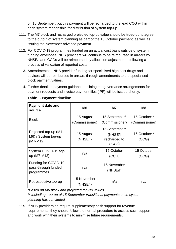on 15 September, but this payment will be recharged to the lead CCG within each system responsible for distribution of system top-up.

- 111. The M7 block and recharged projected top-up value should be trued-up to agree to the output of system planning as part of the 15 October payment, as well as issuing the November advance payment.
- 112. For COVID-19 programmes funded on an actual cost basis outside of system funding envelopes, NHS providers will continue to be reimbursed in arrears by NHSE/I and CCGs will be reimbursed by allocation adjustments, following a process of validation of reported costs.
- 113. Amendments to NHS provider funding for specialised high cost drugs and devices will be reimbursed in arrears through amendments to the specialised block payment values.
- 114. Further detailed payment guidance outlining the governance arrangements for payment requests and invoice payment files (IPF) will be issued shortly.

| <b>Payment date and</b><br>source                          | M <sub>6</sub>              | M7                                                | M8                             |
|------------------------------------------------------------|-----------------------------|---------------------------------------------------|--------------------------------|
| <b>Block</b>                                               | 15 August<br>(Commissioner) | 15 September*<br>(Commissioner)                   | 15 October**<br>(Commissioner) |
| Projected top-up (M1-<br>M6) / System top-up<br>$(M7-M12)$ | 15 August<br>(NHSE/I)       | 15 September*<br>(NHSE/I<br>recharged to<br>CCGs) | 15 October**<br>(CCG)          |
| System COVID-19 top-<br>up (M7-M12)                        | n/a                         | 15 October<br>(CCG)                               | 15 October<br>(CCG)            |
| Funding for COVID-19<br>pass-through funded<br>programmes  | n/a                         | 15 November<br>(NHSE/I)                           |                                |
| Retrospective top-up                                       | 15 November<br>(NHSE/I)     | n/a                                               | n/a                            |

**Table 1. Payment timeline**

*\*Based on M6 block and projected top-up values*

*\*\* Including true-up of 15 September transitional payments once system planning has concluded*

115. If NHS providers do require supplementary cash support for revenue requirements, they should follow the normal procedure to access such support and work with their systems to minimise future requirements.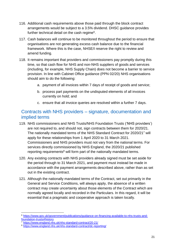- 116. Additional cash requirements above those paid through the block contract arrangements would be subject to a 3.5% dividend. DHSC guidance provides further technical detail on the cash regime<sup>6</sup>.
- 117. Cash balances will continue to be monitored throughout the period to ensure that organisations are not generating excess cash balance due to the financial framework. Where this is the case, NHSE/I reserve the right to review and amend funding.
- 118. It remains important that providers and commissioners pay promptly during this time, so that cash flow for NHS and non-NHS suppliers of goods and services (including, for example, NHS Supply Chain) does not become a barrier to service provision. In line with Cabinet Office guidance (PPN 02/20) NHS organisations should aim to do the following:
	- a. payment of all invoices within 7 days of receipt of goods and service;
	- b. process part payments on the undisputed elements of all invoices currently on hold; and
	- c. ensure that all invoice queries are resolved within a further 7 days.

### <span id="page-20-0"></span>Contracts with NHS providers – signature, documentation and implied terms

- 119. NHS commissioners and NHS Trusts/NHS Foundation Trusts ('NHS providers') are not required to, and should not, sign contracts between them for 2020/21. The nationally mandated terms of the NHS Standard Contract for 2020/21<sup>7</sup> will apply for these relationships from 1 April 2020 to 31 March 2021. Commissioners and NHS providers must not vary from the national terms. For services directly commissioned by NHS England, the 2020/21 published reporting requirements<sup>8</sup> will form part of the nationally mandated terms.
- 120. Any existing contracts with NHS providers already signed must be set aside for the period through to 31 March 2021, and payment must instead be made in accordance with the payment arrangements described above, rather than as set out in the existing contract.
- 121. Although the nationally mandated terms of the Contract, set out primarily in the General and Service Conditions, will always apply, the absence of a written contract may create uncertainty about those elements of the Contract which are normally agreed locally and recorded in the Particulars. In this regard, it will be essential that a pragmatic and cooperative approach is taken locally.

<sup>6</sup> [https://www.gov.uk/government/publications/guidance-on-financing-available-to-nhs-trusts-and](https://www.gov.uk/government/publications/guidance-on-financing-available-to-nhs-trusts-and-foundation-trusts#history)[foundation-trusts#history](https://www.gov.uk/government/publications/guidance-on-financing-available-to-nhs-trusts-and-foundation-trusts#history)

<sup>7</sup> <https://www.england.nhs.uk/nhs-standard-contract/20-21/>

<sup>8</sup> <https://www.england.nhs.uk/nhs-standard-contract/dc-reporting/>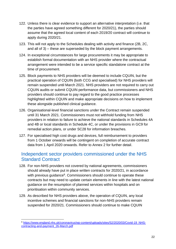- 122. Unless there is clear evidence to support an alternative interpretation (i.e. that the parties have agreed something different for 2020/21), the parties should assume that the agreed local content of each 2019/20 contract will continue to apply during 2020/21.
- 123. This will not apply to the Schedules dealing with activity and finance (2B, 2C, and all of 3) – these are superseded by the block payment arrangements.
- 124. In exceptional circumstances for large procurements it may be appropriate to establish formal documentation with an NHS provider where the contractual arrangement were intended to be a service specific standalone contract at the time of procurement.
- 125. Block payments to NHS providers will be deemed to include CQUIN, but the practical operation of CQUIN (both CCG and specialised) for NHS providers will remain suspended until March 2021. NHS providers are not required to carry out CQUIN audits or submit CQUIN performance data, but commissioners and NHS providers should continue to pay regard to the good practice processes highlighted within CQUIN and make appropriate decisions on how to implement these alongside published clinical guidance.
- 126. Organisational-level financial sanctions under the Contract remain suspended until 31 March 2021. Commissioners must not withhold funding from NHS providers in relation to failure to achieve the national standards in Schedules 4A and 4B or local standards in Schedule 4C, or under the provisions in GC9 for remedial action plans, or under SC28 for information breaches.
- 127. For specialised high cost drugs and devices, full reimbursement to providers from 1 October onwards will be contingent on completion of accurate contract data from 1 April 2020 onwards. Refer to Annex 2 for further detail.

### <span id="page-21-0"></span>Independent sector providers commissioned under the NHS Standard Contract

- 128. For non-NHS providers not covered by national agreements, commissioners should already have put in place written contracts for 2020/21, in accordance with previous guidance<sup>9</sup>. Commissioners should continue to operate these contracts but may need to update certain elements in line with the latest national guidance on the resumption of planned services within hospitals and on prioritisation within community services.
- 129. As described for NHS providers above, the operation of CQUIN, any local incentive schemes and financial sanctions for non-NHS providers remain suspended for 2020/21. Commissioners should continue to make CQUIN

<sup>9</sup> [https://www.england.nhs.uk/coronavirus/wp-content/uploads/sites/52/2020/03/Covid-19\\_NHS](https://www.england.nhs.uk/coronavirus/wp-content/uploads/sites/52/2020/03/COVID-19_NHS-contracting-and-payment_26-March.pdf)[contracting-and-payment\\_26-March.pdf](https://www.england.nhs.uk/coronavirus/wp-content/uploads/sites/52/2020/03/COVID-19_NHS-contracting-and-payment_26-March.pdf)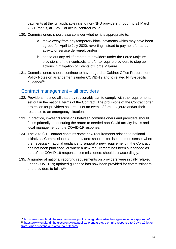payments at the full applicable rate to non-NHS providers through to 31 March 2021 (that is, at 1.25% of actual contract value).

- 130. Commissioners should also consider whether it is appropriate to:
	- a. move away from any temporary block payments which may have been agreed for April to July 2020, reverting instead to payment for actual activity or service delivered; and/or
	- b. phase out any relief granted to providers under the Force Majeure provisions of their contracts, and/or to require providers to step up actions in mitigation of Events of Force Majeure.
- 131. Commissioners should continue to have regard to Cabinet Office Procurement Policy Notes on arrangements under COVID-19 and to related NHS-specific guidance<sup>10</sup>.

### <span id="page-22-0"></span>Contract management – all providers

- 132. Providers must do all that they reasonably can to comply with the requirements set out in the national terms of the Contract. The provisions of the Contract offer protection for providers as a result of an event of force majeure and/or their response to an emergency situation.
- 133. In practice, in-year discussions between commissioners and providers should focus primarily on ensuring the return to needed non-Covid activity levels and local management of the COVID-19 response.
- 134. The 2020/21 Contract contains some new requirements relating to national initiatives. Commissioners and providers should exercise common sense; where the necessary national guidance to support a new requirement in the Contract has not been published, or where a new requirement has been suspended as part of the COVID-19 response, commissioners should act accordingly.
- 135. A number of national reporting requirements on providers were initially relaxed under COVID-19; updated guidance has now been provided for commissioners and providers to follow<sup>11</sup>.

<sup>10</sup> <https://www.england.nhs.uk/coronavirus/publication/guidance-to-nhs-organisations-on-ppn-note/> <sup>11</sup> [https://www.england.nhs.uk/coronavirus/publication/next-steps-on-nhs-response-to-Covid-19-letter](https://www.england.nhs.uk/coronavirus/publication/next-steps-on-nhs-response-to-covid-19-letter-from-simon-stevens-and-amanda-pritchard/)[from-simon-stevens-and-amanda-pritchard/](https://www.england.nhs.uk/coronavirus/publication/next-steps-on-nhs-response-to-covid-19-letter-from-simon-stevens-and-amanda-pritchard/)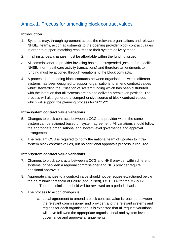# <span id="page-23-0"></span>Annex 1. Process for amending block contract values

### **Introduction**

- 1. Systems may, through agreement across the relevant organisations and relevant NHSE/I teams, action adjustments to the opening provider block contract values in order to support matching resources to their system delivery model.
- 2. In all instances, changes must be affordable within the funding issued.
- 3. All commissioner to provider invoicing has been suspended (except for specific NHSE/I non-healthcare activity transactions) and therefore amendments to funding must be actioned through variations to the block contracts.
- 4. A process for amending block contracts between organisations within different systems has been designed to support organisations to amend contract values whilst stewarding the utilisation of system funding which has been distributed with the intention that all systems are able to deliver a breakeven position. The process will also generate a comprehensive source of block contract values which will support the planning process for 2021/22.

#### **Intra-system contract value variations**

- 5. Changes to block contracts between a CCG and provider within the same system can be actioned based on system agreement. All variations should follow the appropriate organisational and system level governance and approval arrangements.
- 6. The relevant CCG is required to notify the national team of updates to intrasystem block contract values, but no additional approvals process is required.

### **Inter-system contract value variations**

- 7. Changes to block contracts between a CCG and NHS provider within different systems, or between a regional commissioner and NHS provider require additional approvals.
- 8. Aggregate changes to a contract value should not be requested/actioned below the de minimis threshold of £200k (annualised), i.e. £100k for the M7-M12 period. The de minimis threshold will be reviewed on a periodic basis.
- 9. The process to action changes is:
	- a. Local agreement to amend a block contract value is reached between the relevant commissioner and provider, and the relevant systems and regions for each organisation. It is expected that all request variations will have followed the appropriate organisational and system level governance and approval arrangements.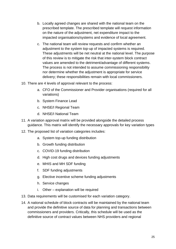- b. Locally agreed changes are shared with the national team on the prescribed template. The prescribed template will request information on the nature of the adjustment, net expenditure impact to the impacted organisations/systems and evidence of local agreement.
- c. The national team will review requests and confirm whether an adjustment to the system top-up of impacted systems is required. These adjustments will be net neutral at the national level. The purpose of this review is to mitigate the risk that inter-system block contract values are amended to the detriment/advantage of different systems. The process is not intended to assume commissioning responsibility nor determine whether the adjustment is appropriate for service delivery; these responsibilities remain with local commissioners.
- 10. There are 4 levels of approval relevant to the process:
	- a. CFO of the Commissioner and Provider organisations (required for all variations)
	- b. System Finance Lead
	- c. NHSE/I Regional Team
	- d. NHSE/I National Team
- 11. A variation approval matrix will be provided alongside the detailed process guidance. This matrix will identify the necessary approvals for key variation types
- 12. The proposed list of variation categories includes:
	- a. System top-up funding distribution
	- b. Growth funding distribution
	- c. COVID-19 funding distribution
	- d. High cost drugs and devices funding adjustments
	- e. MHIS and MH SDF funding
	- f. SDF funding adjustments
	- g. Elective incentive scheme funding adjustments
	- h. Service changes
	- i. Other explanation will be required
- 13. Data requirements will be customised for each variation category.
- 14. A national schedule of block contracts will be maintained by the national team and provide the definitive source of data for planning and transactions between commissioners and providers. Critically, this schedule will be used as the definitive source of contract values between NHS providers and regional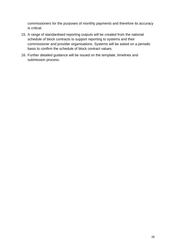commissioners for the purposes of monthly payments and therefore its accuracy is critical.

- 15. A range of standardised reporting outputs will be created from the national schedule of block contracts to support reporting to systems and their commissioner and provider organisations. Systems will be asked on a periodic basis to confirm the schedule of block contract values.
- 16. Further detailed guidance will be issued on the template, timelines and submission process.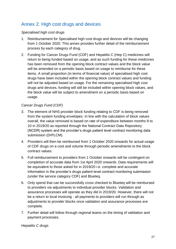# <span id="page-26-0"></span>Annex 2. High cost drugs and devices

### *Specialised high cost drugs*

- 1. Reimbursement for Specialised high cost drugs and devices will be changing from 1 October 2020. This annex provides further detail of the reimbursement process by each category of drug.
- 2. Funding for Cancer Drugs Fund (CDF) and Hepatitis C (Hep C) medicines will return to being funded based on usage, and as such funding for these medicines has been removed from the opening block contract values and the block value will be amended on a periodic basis based on usage to reimburse for these items. A small proportion (in terms of financial value) of specialised high cost drugs have been included within the opening block contract values and funding will not be adjusted based on usage. For the remaining specialised high cost drugs and devices, funding will still be included within opening block values, and the block value will be subject to amendment on a periodic basis based on usage.

### *Cancer Drugs Fund (CDF)*

- 3. The element of NHS provider block funding relating to CDF is being removed from the system funding envelopes. In line with the calculation of block values overall, the value removed is based on rate of expenditure between months 8 to 10 in 2019/20 as reported through the National Contract Data Repository (NCDR) system and the provider's drugs patient level contract monitoring data submission (DrPLCM).
- 4. Providers will then be reimbursed from 1 October 2020 onwards for actual usage of CDF drugs on a cost and volume through periodic amendments to the block contract values.
- 5. Full reimbursement to providers from 1 October onwards will be contingent on completion of accurate data from 1st April 2020 onwards. Data requirements will be equivalent to those asked for in 2019/20 i.e. complete and accurate information in the provider's drugs patient level contract monitoring submission (under the service category CDF) and Blueteq.
- 6. Only spend that can be successfully cross checked to Blueteq will be reimbursed to providers via adjustments to individual provider blocks. Validation and assurance processes will operate as they did in 2019/20. However, there will not be a return to local invoicing - all payments to providers will run through as adjustments to provider blocks once validation and assurance processes are complete.
- 7. Further detail will follow through regional teams on the timing of validation and payment processes.

*Hepatitis C drugs*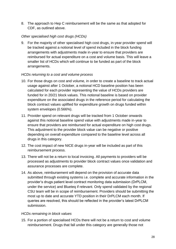8. The approach to Hep C reimbursement will be the same as that adopted for CDF, as outlined above.

### *Other specialised high cost drugs (HCDs)*

9. For the majority of other specialised high cost drugs, in-year provider spend will be tracked against a notional level of spend included in the block funding arrangements with adjustments made in-year to ensure that providers are reimbursed for actual expenditure on a cost and volume basis. This will leave a smaller list of HCDs which will continue to be funded as part of the block arrangements.

### *HCDs returning to a cost and volume process*

- 10. For those drugs on cost and volume, in order to create a baseline to track actual usage against after 1 October, a notional HCD baseline position has been calculated for each provider representing the value of HCDs providers are funded for in 20/21 block values. This notional baseline is based on provider expenditure on the associated drugs in the reference period for calculating the block contract values uplifted for expenditure growth on drugs funded within system envelopes (0.566%).
- 11. Provider spend on relevant drugs will be tracked from 1 October onwards against this notional baseline spend value with adjustments made in-year to ensure that providers are reimbursed for actual expenditure on high cost drugs. This adjustment to the provider block value can be negative or positive depending on overall expenditure compared to the baseline level across all drugs in this category.
- 12. The cost impact of new NICE drugs in-year will be included as part of this reimbursement process.
- 13. There will not be a return to local invoicing. All payments to providers will be processed as adjustments to provider block contract values once validation and assurance processes are complete.
- 14. As above, reimbursement will depend on the provision of accurate data submitted through existing systems i.e. complete and accurate information in the provider's drugs patient level contract monitoring data submission (DrPLCM, under the service) and Blueteq if relevant. Only spend validated by the regional CSU team will be in scope of reimbursement. Providers should be submitting the most up to date and accurate YTD position in their DrPLCM each month. If queries are resolved, this should be reflected in the provider's latest DrPLCM submission.

### *HCDs remaining in block values*

15. For a portion of specialised HCDs there will not be a return to cost and volume reimbursement. Drugs that fall under this category are generally those not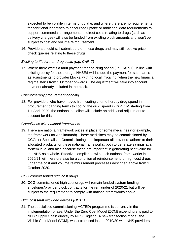expected to be volatile in terms of uptake, and where there are no requirements for additional incentives to encourage uptake or additional data requirements to support commercial arrangements. Indirect costs relating to drugs (such as delivery charges) will also be funded from existing block amounts and won't be subject to cost and volume reimbursement.

16. Providers should still submit data on these drugs and may still receive price check queries relating to these drugs.

### *Existing tariffs for non-drug costs (e.g. CAR-T)*

17. Where there exists a tariff payment for non-drug spend (i.e. CAR-T), in line with existing policy for these drugs, NHSE/I will include the payment for such tariffs as adjustments to provider blocks, with no local invoicing, when the new financial regime starts from 1 October onwards. The adjustment will take into account payment already included in the block.

### *Chemotherapy procurement banding*

18. For providers who have moved from coding chemotherapy drug spend in procurement banding terms to coding the drug spend in DrPLCM starting from 1st April 2020, the notional baseline will include an additional adjustment to account for this.

### *Compliance with national frameworks*

19. There are national framework prices in place for some medicines (for example, the framework for Adalimumab). These medicines may be commissioned by CCGs or Specialised Commissioning. It is important all providers adhere to their allocated products for these national frameworks, both to generate savings at a system level and also because these are important in generating best value for the NHS as a whole. Effective compliance with such national frameworks in 2020/21 will therefore also be a condition of reimbursement for high cost drugs under the cost and volume reimbursement processes described above from 1 October 2020.

### *CCG commissioned high cost drugs*

20. CCG commissioned high cost drugs will remain funded system funding envelopes/provider block contracts for the remainder of 2020/21 but will be subject to the requirement to comply with national frameworks above.

### *High cost tariff excluded devices (HCTED)*

21. The specialised commissioning HCTED) programme is currently in the implementation phase. Under the Zero Cost Model (ZCM) expenditure is paid to NHS Supply Chain directly by NHS England. A new transaction model, the Visible Cost Model (VCM), was introduced in late 2019/20 with NHS providers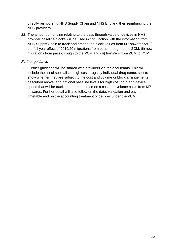directly reimbursing NHS Supply Chain and NHS England then reimbursing the NHS providers.

22. The amount of funding relating to the pass through value of devices in NHS provider baseline blocks will be used in conjunction with the information from NHS Supply Chain to track and amend the block values from M7 onwards for (i) the full year effect of 2019/20 migrations from pass-through to the ZCM; (ii) new migrations from pass-through to the VCM and (iii) transfers from ZCM to VCM.

### *Further guidance*

23. Further guidance will be shared with providers via regional teams. This will include the list of specialised high cost drugs by individual drug name, split to show whether they are subject to the cost and volume or block arrangements described above, and notional baseline levels for high cost drug and device spend that will be tracked and reimbursed on a cost and volume basis from M7 onwards. Further detail will also follow on the data, validation and payment timetable and on the accounting treatment of devices under the VCM.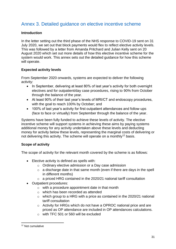# <span id="page-30-0"></span>Annex 3. Detailed guidance on elective incentive scheme

### **Introduction**

In the letter setting out the third phase of the NHS response to COVID-19 sent on 31 July 2020, we set out that block payments would flex to reflect elective activity levels. This was followed by a letter from Amanda Pritchard and Julian Kelly sent on 20 August 2020 which set out more details of how this elective incentive scheme for the system would work. This annex sets out the detailed guidance for how this scheme will operate.

### **Expected activity levels**

From September 2020 onwards, systems are expected to deliver the following activity:

- In September, delivering at least 80% of last year's activity for both overnight electives and for outpatient/day case procedures, rising to 90% from October through the balance of the year.
- At least 90% of their last year's levels of MRI/CT and endoscopy procedures, with the goal to reach 100% by October; and
- 100% of last year's activity for first outpatient attendances and follow-ups (face to face or virtually) from September through the balance of the year.

Systems have been fully funded to achieve these levels of activity. The elective incentive scheme will support systems in achieving these aims by paying systems additional money for any activity undertaken above these levels and deducting money for activity below these levels, representing the marginal costs of delivering or not delivering this activity. The scheme will operate on a monthly<sup>12</sup> basis.

### **Scope of activity**

The scope of activity for the relevant month covered by the scheme is as follows:

- Elective activity is defined as spells with:
	- o Ordinary elective admission or a Day case admission
	- $\circ$  a discharge date in that same month (even if there are days in the spell in different months)
	- o a priced HRG contained in the 2020/21 national tariff consultation
- Outpatient procedures:
	- o with a procedure appointment date in that month
	- o which has been recorded as attended
	- $\circ$  which group to a HRG with a price as contained in the 2020/21 national tariff consultation
	- o Activity for HRGs which do not have a OPROC national price and are priced as OP attendance are included in OP attendances calculations.
	- o with TFC 501 or 560 will be excluded

<sup>12</sup> Not cumulative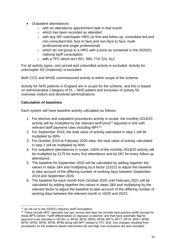- Outpatient attendances:
	- o with an attendance appointment date in that month
	- o which has been recorded as attended
	- o with any WF subchapter HRG (ie first and follow up, consultant-led and non-consultant-led, face to face and non-face to face, multiprofessional and single professional)
	- o which do not group to a HRG with a price as contained in the 2020/21 national tariff consultation
	- o with a TFC which isn't 501, 560, 710-724, 812

For all activity types, zero priced and unbundled activity is excluded. Activity for subchapter NZ (maternity) is excluded.

Both CCG and NHSE commissioned activity is within scope of the scheme.

Activity for NHS patients in England are in scope for the scheme, and this is based on Administrative Category of 01 – NHS patient and exclusion of activity for overseas visitors and devolved administrations.

### **Calculation of baselines**

Each system will have baseline activity calculated as follows:

- 1. For elective and outpatient procedures activity in scope, the monthly 2019/20 activity will be multiplied by the relevant tariff price<sup>13</sup> adjusted in line with relevant tariff payment rules including MFF<sup>14</sup>
- 2. For September 2019, the total value of activity calculated in step 1 will be multiplied by 80%
- 3. For October 2019 to February 2020 data, the total value of activity calculated in step 1 will be multiplied by 90%
- 4. For outpatient attendances in scope, 100% of the monthly 2019/20 activity will be multiplied by £175 for every first attendance and by £87 for every follow up attendance.
- 5. The baseline for September 2020 will be calculated by adding together the values in steps 2&4 and multiplying by a factor (22/21) to adjust the baseline to take account of the differing number of working days between September 2019 and September 2020.
- 6. The baseline for each month from October 2020 until February 2021 will be calculated by adding together the values in steps 3&4 and multiplying by the relevant factor to adjust the baseline to take account of the differing number of working days between the relevant month in 19/20 and 20/21.

<sup>&</sup>lt;sup>13</sup> As set out in the 2020/21 statutory tariff consultation

<sup>&</sup>lt;sup>14</sup> These include MFF, specialist top ups, excess bed days but exclude best practice tariffs (except for those BPTs where "Tariff differentiated on daycase vs elective" and that have automatic flag for payment to be calculate in NCDR i.e. BP28, BP32, BP63, BP68, BP73, BP77, BP79, BP87, BP88, BP91, BP92, BP94, BP95, BP96 along with BPT related to TFC 329). Any changes resulting from procedures on the evidence based intervention list and high cost exclusions are also excluded.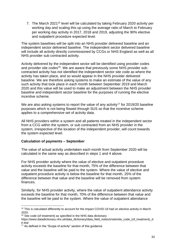7. The March 2021<sup>15</sup> level will be calculated by taking February 2020 activity per working day and scaling this up using the average ratio of March to February per working day activity in 2017, 2018 and 2019, adjusting the 90% elective and outpatient procedure expected level.

The system baselines will be split into an NHS provider delivered baseline and an independent sector delivered baseline. The independent sector delivered baseline will include all activity directly commissioned by CCGs or NHS England as well as all NHS provider sub contracted activity.

Activity delivered by the independent sector will be identified using provider codes and provider site codes<sup>16</sup>. We are aware that previously some NHS provider subcontracted activity has not identified the independent sector site code as where the activity has taken place, and so would appear in the NHS provider delivered baseline. We are therefore asking systems to make an estimate of the value of any such activity that took place in each month between September 2019 and March 2020 and this value will be used to make an adjustment between the NHS provider baseline and independent sector baseline for the purposes of running the elective incentive scheme.

We are also asking systems to report the value of any activity<sup>17</sup> for 2019/20 baseline purposes which is not being flowed through SUS so that the incentive scheme applies to a comprehensive set of activity data.

All NHS providers within a system and all patients treated in the independent sector from a CCG within the system, or sub contracted from an NHS provider in the system, irrespective of the location of the independent provider, will count towards the system expected level.

### **Calculation of payments – September**

The value of actual activity undertaken each month from September 2020 will be calculated in the same way as described in steps 1 and 4 above.

For NHS provider activity where the value of elective and outpatient procedure activity exceeds the baseline for that month, 75% of the difference between that value and the baseline will be paid to the system. Where the value of elective and outpatient procedure activity is below the baseline for that month, 25% of the difference between that value and the baseline will be removed from system finances.

Similarly, for NHS provider activity, where the value of outpatient attendance activity exceeds the baseline for that month, 70% of the difference between that value and the baseline will be paid to the system. Where the value of outpatient attendance

<sup>&</sup>lt;sup>15</sup> This is calculated differently to account for the impact COVID-19 had on elective activity in March 2020.

<sup>&</sup>lt;sup>16</sup> Site code (of treatment) as specified in the NHS data dictionary

https://www.datadictionary.nhs.uk/data\_dictionary/data\_field\_notes/s/site/site\_code\_(of\_treatment)\_d e.asp

<sup>&</sup>lt;sup>17</sup> As defined in the "Scope of activity" section of this guidance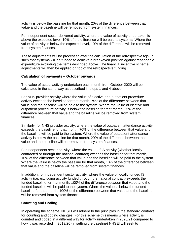activity is below the baseline for that month, 20% of the difference between that value and the baseline will be removed from system finances.

For independent sector delivered activity, where the value of activity undertaken is above the expected level, 10% of the difference will be paid to systems. Where the value of activity is below the expected level, 10% of the difference will be removed from system finances.

These adjustments will be processed after the calculation of the retrospective top-up, such that systems will be funded to achieve a breakeven position against reasonable expenditure excluding the items described above. The financial incentive scheme adjustments will then be applied on top of the retrospective funding.

#### **Calculation of payments – October onwards**

The value of actual activity undertaken each month from October 2020 will be calculated in the same way as described in steps 1 and 4 above.

For NHS provider activity where the value of elective and outpatient procedure activity exceeds the baseline for that month, 75% of the difference between that value and the baseline will be paid to the system. Where the value of elective and outpatient procedure activity is below the baseline for that month, 25% of the difference between that value and the baseline will be removed from system finances.

Similarly, for NHS provider activity, where the value of outpatient attendance activity exceeds the baseline for that month, 70% of the difference between that value and the baseline will be paid to the system. Where the value of outpatient attendance activity is below the baseline for that month, 20% of the difference between that value and the baseline will be removed from system finances.

For independent sector activity, where the value of IS activity (whether locally contracted or through the national contract) exceeds the baseline for that month, 10% of the difference between that value and the baseline will be paid to the system. Where the value is below the baseline for that month, 10% of the difference between that value and the baseline will be removed from system finances.

In addition, for independent sector activity, where the value of locally funded IS activity (i.e. excluding activity funded through the national contract) exceeds the funded baseline for that month, 100% of the difference between that value and the funded baseline will be paid to the system. Where the value is below the funded baseline for that month, 100% of the difference between that value and the baseline will be removed from system finances.

### **Counting and Coding**

In operating the scheme, NHSEI will adhere to the principles in the standard contract for counting and coding changes. For this scheme this means where activity is counted and coded in a different way for activity undertaken in 2020/21 compared to how it was recorded in 2019/20 (in setting the baseline) NHSEI will seek to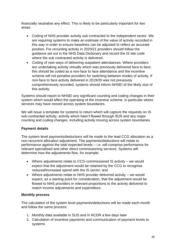financially neutralise any effect. This is likely to be particularly important for two areas:

- Coding of NHS provider activity sub contracted to the independent sector. We are requiring systems to make an estimate of the value of activity recorded in this way in order to ensure baselines can be adjusted to reflect an accurate position. For recording activity in 2020/21 providers should follow the guidance set out in the NHS Data Dictionary and record the IS site code where the sub contracted activity is delivered.
- Coding of new ways of delivering outpatient attendances. Where providers are undertaking activity virtually which was previously delivered face to face, this should be coded as a non-face to face attendance and the incentive scheme will not penalise providers for switching between modes of activity. If non-face to face activity delivered in 2019/20 was not previously comprehensively recorded, systems should inform NHSEI of the likely size of this activity.

Systems should report to NHSEI any significant counting and coding changes in their system which would affect the operating of the incentive scheme, in particular where services may have moved across system boundaries.

We will issue a template for systems to return which will capture the requests on IS sub-contracted activity, activity which hasn't flowed through SUS and any major counting and coding changes, including activity moving across system boundaries.

### **Payment details**

The system level payments/deductions will be made to the lead CCG allocation as a non-recurrent allocation adjustment. The payments/deductions will relate to performance against the total expected levels – i.e. will comprise performance for relevant specialised and other direct commissioning services. Systems will determine how the adjustments flow, for example:

- Where adjustments relate to CCG-commissioned IS activity we would expect that the adjustment would be retained by the CCG to recognise reduced/increased spend with the IS sector; and
- Where adjustments relate to NHS provider delivered activity we would expect, as a starting point for consideration, that the adjustment would be flowed to NHS providers in relevant proportions to the activity delivered to match income adjustments and expenditure.

### **Monthly process**

The calculation of the system level payments/deductions will be made each month and follow the same process:

- 1. Monthly data available in SUS and in NCDR a few days later
- 2. Calculation of incentive payments and communication of payment levels to systems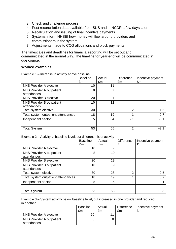- 3. Check and challenge process
- 4. Post reconciliation data available from SUS and in NCDR a few days later
- 5. Recalculation and issuing of final incentive payments
- 6. Systems inform NHSEI how money will flow around providers and commissioners in the system
- 7. Adjustments made to CCG allocations and block payments

The timescales and deadlines for financial reporting will be set out and communicated in the normal way. The timeline for year-end will be communicated in due course.

#### **Worked examples**

Example 1 – Increase in activity above baseline

|                                          | <b>Baseline</b><br>£m | Actual<br>£m | <b>Difference</b><br>£m       | Incentive payment<br>£m |
|------------------------------------------|-----------------------|--------------|-------------------------------|-------------------------|
| NHS Provider A elective                  | 10                    | 11           |                               |                         |
| NHS Provider A outpatient<br>attendances | 8                     |              |                               |                         |
| NHS Provider B elective                  | 20                    | 21           |                               |                         |
| NHS Provider B outpatient<br>attendances | 10                    | 12           |                               |                         |
| Total system elective                    | 30                    | 32           | 2                             | 1.5                     |
| Total system outpatient attendances      | 18                    | 19           | 4                             | 0.7                     |
| Independent sector                       | 5                     | 4            | 1<br>$\overline{\phantom{a}}$ | $-0.1$                  |
| <b>Total System</b>                      | 53                    | 55           | 2                             | $+2.1$                  |

Example 2 – Activity at baseline level, but different mix of activity

|                                     | <b>Baseline</b><br>£m | Actual<br>£m | <b>Difference</b><br>£m | Incentive payment<br>£m |
|-------------------------------------|-----------------------|--------------|-------------------------|-------------------------|
| <b>NHS Provider A elective</b>      | 10                    | 9            |                         |                         |
| NHS Provider A outpatient           | 8                     | 10           |                         |                         |
| attendances                         |                       |              |                         |                         |
| NHS Provider B elective             | 20                    | 19           |                         |                         |
| NHS Provider B outpatient           | 10                    | 9            |                         |                         |
| attendances                         |                       |              |                         |                         |
| Total system elective               | 30                    | 28           | $-2$                    | $-0.5$                  |
| Total system outpatient attendances | 18                    | 19           |                         | 0.7                     |
| Independent sector                  | 5                     | 6            | 1                       | 0.1                     |
|                                     |                       |              |                         |                         |
| <b>Total System</b>                 | 53                    | 53           |                         | $+0.3$                  |

Example 3 – System activity below baseline level, but increased in one provider and reduced in another

|                                          | <b>Baseline</b> | Actual | <b>Difference</b> | Incentive payment |
|------------------------------------------|-----------------|--------|-------------------|-------------------|
|                                          | £m              | £m     | £m                | £m                |
| NHS Provider A elective                  | 10              |        |                   |                   |
| NHS Provider A outpatient<br>attendances |                 |        |                   |                   |